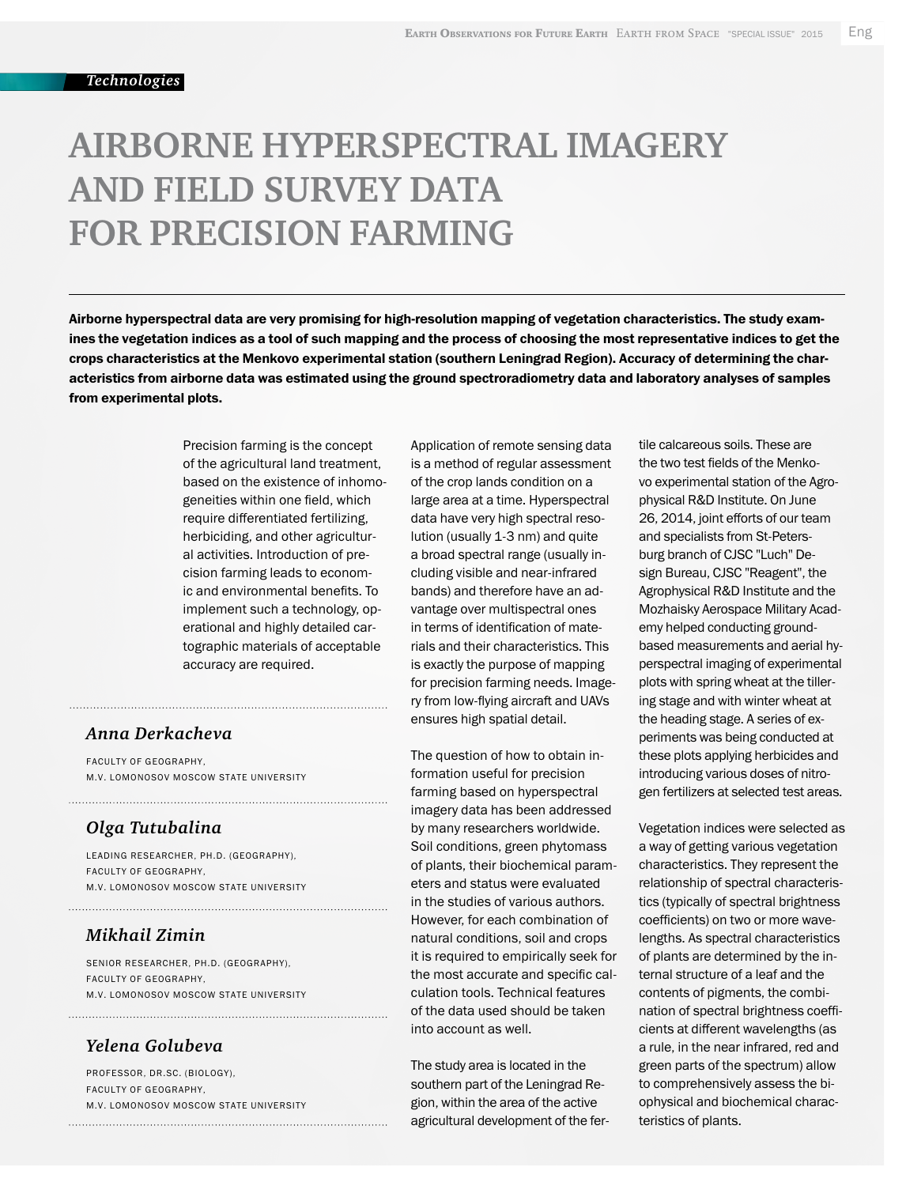# **AIRBORNE HYPERSPECTRAL IMAGERY AND FIELD SURVEY DATA FOR PRECISION FARMING**

Airborne hyperspectral data are very promising for high-resolution mapping of vegetation characteristics. The study examines the vegetation indices as a tool of such mapping and the process of choosing the most representative indices to get the crops characteristics at the Menkovo experimental station (southern Leningrad Region). Accuracy of determining the characteristics from airborne data was estimated using the ground spectroradiometry data and laboratory analyses of samples from experimental plots.

> Precision farming is the concept of the agricultural land treatment, based on the existence of inhomogeneities within one field, which require differentiated fertilizing, herbiciding, and other agricultural activities. Introduction of precision farming leads to economic and environmental benefits. To implement such a technology, operational and highly detailed cartographic materials of acceptable accuracy are required.

### *Anna Derkacheva*

Faculty of Geography, M.V. Lomonosov Moscow State University

## *Olga Tutubalina*

Leading Researcher, Ph.D. (Geography), Faculty of Geography, M.V. Lomonosov Moscow State University

#### *Mikhail Zimin*

Senior Researcher, Ph.D. (Geography), Faculty of Geography, M.V. LOMONOSOV MOSCOW STATE UNIVERSITY

## *Yelena Golubeva*

Professor, Dr.Sc. (Biology), Faculty of Geography, M.V. LOMONOSOV MOSCOW STATE UNIVERSITY Application of remote sensing data is a method of regular assessment of the crop lands condition on a large area at a time. Hyperspectral data have very high spectral resolution (usually 1-3 nm) and quite a broad spectral range (usually including visible and near-infrared bands) and therefore have an advantage over multispectral ones in terms of identification of materials and their characteristics. This is exactly the purpose of mapping for precision farming needs. Imagery from low-flying aircraft and UAVs ensures high spatial detail.

The question of how to obtain information useful for precision farming based on hyperspectral imagery data has been addressed by many researchers worldwide. Soil conditions, green phytomass of plants, their biochemical parameters and status were evaluated in the studies of various authors. However, for each combination of natural conditions, soil and crops it is required to empirically seek for the most accurate and specific calculation tools. Technical features of the data used should be taken into account as well.

The study area is located in the southern part of the Leningrad Region, within the area of the active agricultural development of the fertile calcareous soils. These are the two test fields of the Menkovo experimental station of the Agrophysical R&D Institute. On June 26, 2014, joint efforts of our team and specialists from St-Petersburg branch of CJSC "Luch" Design Bureau, CJSC "Reagent", the Agrophysical R&D Institute and the Mozhaisky Aerospace Military Academy helped conducting groundbased measurements and aerial hyperspectral imaging of experimental plots with spring wheat at the tillering stage and with winter wheat at the heading stage. A series of experiments was being conducted at these plots applying herbicides and introducing various doses of nitrogen fertilizers at selected test areas.

Vegetation indices were selected as a way of getting various vegetation characteristics. They represent the relationship of spectral characteristics (typically of spectral brightness coefficients) on two or more wavelengths. As spectral characteristics of plants are determined by the internal structure of a leaf and the contents of pigments, the combination of spectral brightness coefficients at different wavelengths (as a rule, in the near infrared, red and green parts of the spectrum) allow to comprehensively assess the biophysical and biochemical characteristics of plants.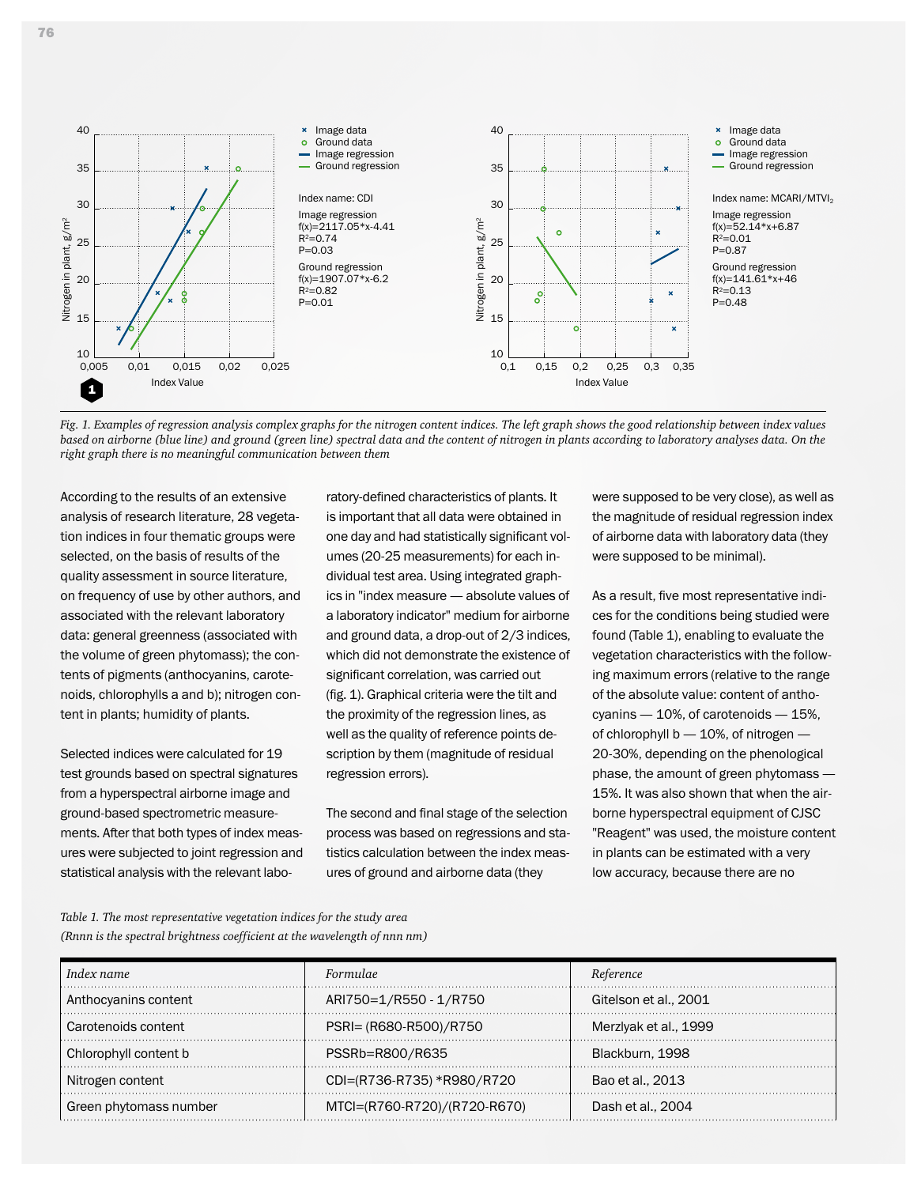

*Fig. 1. Examples of regression analysis complex graphs for the nitrogen content indices. The left graph shows the good relationship between index values based on airborne (blue line) and ground (green line) spectral data and the content of nitrogen in plants according to laboratory analyses data. On the right graph there is no meaningful communication between them*

According to the results of an extensive analysis of research literature, 28 vegetation indices in four thematic groups were selected, on the basis of results of the quality assessment in source literature, on frequency of use by other authors, and associated with the relevant laboratory data: general greenness (associated with the volume of green phytomass); the contents of pigments (anthocyanins, carotenoids, chlorophylls a and b); nitrogen content in plants; humidity of plants.

Selected indices were calculated for 19 test grounds based on spectral signatures from a hyperspectral airborne image and ground-based spectrometric measurements. After that both types of index measures were subjected to joint regression and statistical analysis with the relevant laboratory-defined characteristics of plants. It is important that all data were obtained in one day and had statistically significant volumes (20-25 measurements) for each individual test area. Using integrated graphics in "index measure — absolute values of a laboratory indicator" medium for airborne and ground data, a drop-out of 2/3 indices, which did not demonstrate the existence of significant correlation, was carried out (fig. 1). Graphical criteria were the tilt and the proximity of the regression lines, as well as the quality of reference points description by them (magnitude of residual regression errors).

The second and final stage of the selection process was based on regressions and statistics calculation between the index measures of ground and airborne data (they

were supposed to be very close), as well as the magnitude of residual regression index of airborne data with laboratory data (they were supposed to be minimal).

As a result, five most representative indices for the conditions being studied were found (Table 1), enabling to evaluate the vegetation characteristics with the following maximum errors (relative to the range of the absolute value: content of anthocyanins — 10%, of carotenoids — 15%, of chlorophyll b — 10%, of nitrogen — 20-30%, depending on the phenological phase, the amount of green phytomass — 15%. It was also shown that when the airborne hyperspectral equipment of CJSC "Reagent" was used, the moisture content in plants can be estimated with a very low accuracy, because there are no

*Table 1. The most representative vegetation indices for the study area (Rnnn is the spectral brightness coefficient at the wavelength of nnn nm)*

| Index name             | Formulae                     | Reference             |
|------------------------|------------------------------|-----------------------|
| Anthocyanins content   | ARI750=1/R550 - 1/R750       | Gitelson et al., 2001 |
| Carotenoids content    | PSRI= (R680-R500)/R750       | Merziyak et al., 1999 |
| Chlorophyll content b  | PSSRb=R800/R635              | Blackburn, 1998       |
| Nitrogen content       | CDI=(R736-R735) *R980/R720   | Bao et al., 2013      |
| Green phytomass number | MTCI=(R760-R720)/(R720-R670) | Dash et al., 2004     |